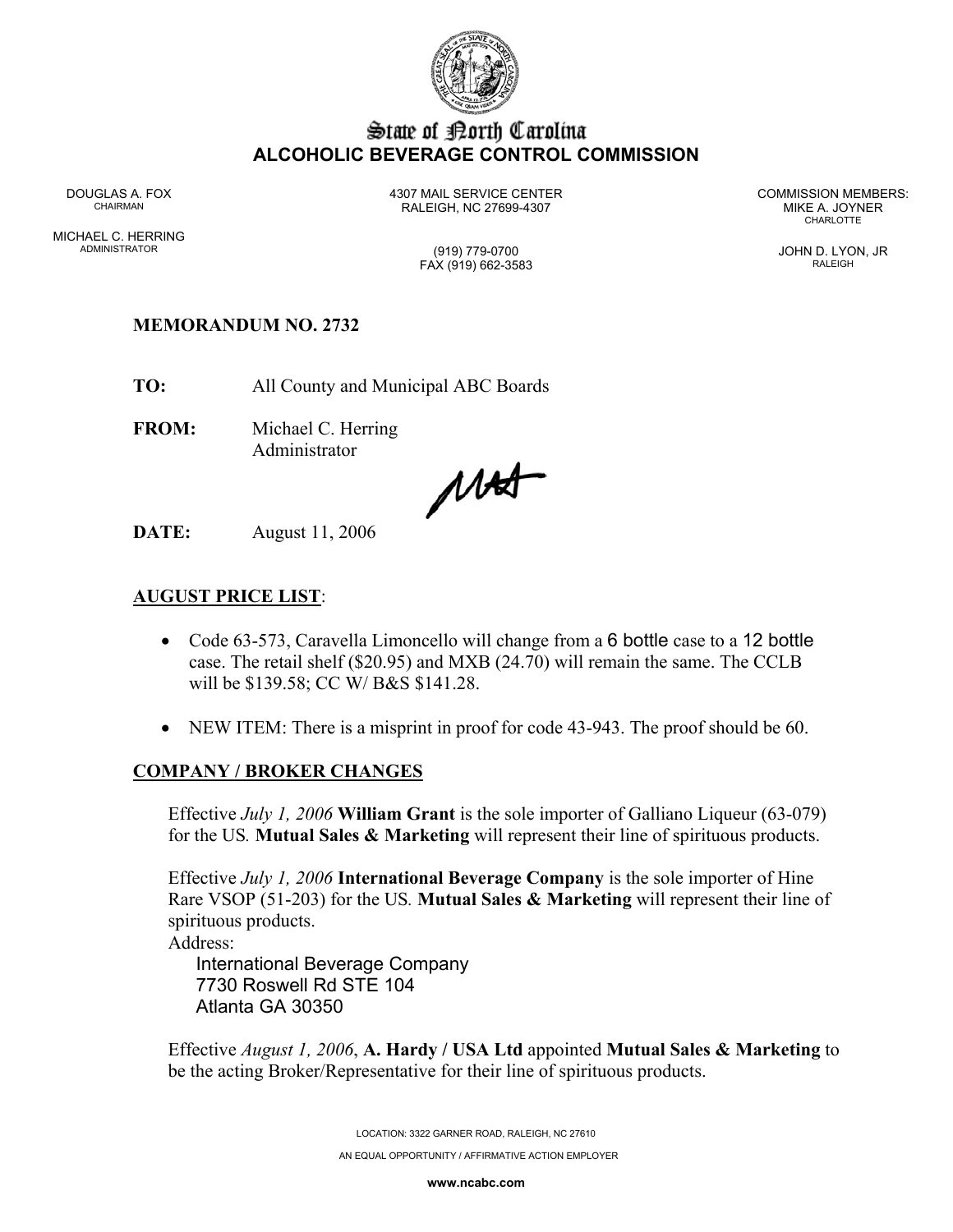

## State of Borth Carolina **ALCOHOLIC BEVERAGE CONTROL COMMISSION**

DOUGLAS A. FOX 4307 MAIL SERVICE CENTER COMMISSION MEMBERS: CHAIRMAN RALEIGH, NC 27699-4307 MIKE A. JOYNER

**CHARLOTTE** 

FAX (919) 662-3583 RALEIGH

MICHAEL C. HERRING ADMINISTRATOR (919) 779-0700 JOHN D. LYON, JR

### **MEMORANDUM NO. 2732**

**TO:** All County and Municipal ABC Boards

**FROM:** Michael C. Herring Administrator

MAS

**DATE:** August 11, 2006

### **AUGUST PRICE LIST**:

- Code 63-573, Caravella Limoncello will change from a 6 bottle case to a 12 bottle case. The retail shelf (\$20.95) and MXB (24.70) will remain the same. The CCLB will be \$139.58; CC W/ B&S \$141.28.
- NEW ITEM: There is a misprint in proof for code 43-943. The proof should be 60.

#### **COMPANY / BROKER CHANGES**

Effective *July 1, 2006* **William Grant** is the sole importer of Galliano Liqueur (63-079) for the US*.* **Mutual Sales & Marketing** will represent their line of spirituous products.

Effective *July 1, 2006* **International Beverage Company** is the sole importer of Hine Rare VSOP (51-203) for the US*.* **Mutual Sales & Marketing** will represent their line of spirituous products.

Address:

International Beverage Company 7730 Roswell Rd STE 104 Atlanta GA 30350

Effective *August 1, 2006*, **A. Hardy / USA Ltd** appointed **Mutual Sales & Marketing** to be the acting Broker/Representative for their line of spirituous products.

> LOCATION: 3322 GARNER ROAD, RALEIGH, NC 27610 AN EQUAL OPPORTUNITY / AFFIRMATIVE ACTION EMPLOYER

> > **www.ncabc.com**